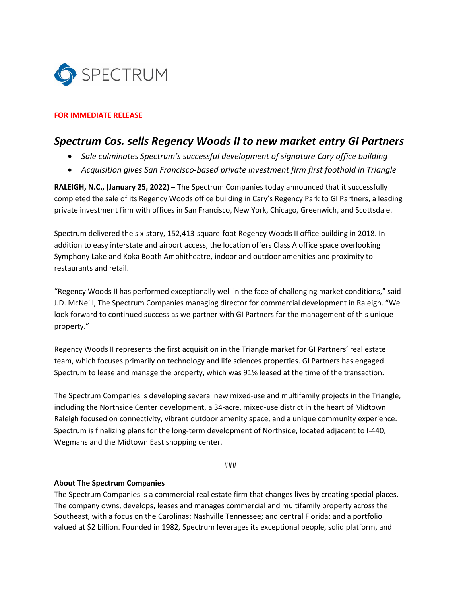

## **FOR IMMEDIATE RELEASE**

## *Spectrum Cos. sells Regency Woods II to new market entry GI Partners*

- *Sale culminates Spectrum's successful development of signature Cary office building*
- *Acquisition gives San Francisco-based private investment firm first foothold in Triangle*

**RALEIGH, N.C., (January 25, 2022) –** The Spectrum Companies today announced that it successfully completed the sale of its Regency Woods office building in Cary's Regency Park to GI Partners, a leading private investment firm with offices in San Francisco, New York, Chicago, Greenwich, and Scottsdale.

Spectrum delivered the six-story, 152,413-square-foot Regency Woods II office building in 2018. In addition to easy interstate and airport access, the location offers Class A office space overlooking Symphony Lake and Koka Booth Amphitheatre, indoor and outdoor amenities and proximity to restaurants and retail.

"Regency Woods II has performed exceptionally well in the face of challenging market conditions," said J.D. McNeill, The Spectrum Companies managing director for commercial development in Raleigh. "We look forward to continued success as we partner with GI Partners for the management of this unique property."

Regency Woods II represents the first acquisition in the Triangle market for GI Partners' real estate team, which focuses primarily on technology and life sciences properties. GI Partners has engaged Spectrum to lease and manage the property, which was 91% leased at the time of the transaction.

The Spectrum Companies is developing several new mixed-use and multifamily projects in the Triangle, including the Northside Center development, a 34-acre, mixed-use district in the heart of Midtown Raleigh focused on connectivity, vibrant outdoor amenity space, and a unique community experience. Spectrum is finalizing plans for the long-term development of Northside, located adjacent to I-440, Wegmans and the Midtown East shopping center.

###

## **About The Spectrum Companies**

The Spectrum Companies is a commercial real estate firm that changes lives by creating special places. The company owns, develops, leases and manages commercial and multifamily property across the Southeast, with a focus on the Carolinas; Nashville Tennessee; and central Florida; and a portfolio valued at \$2 billion. Founded in 1982, Spectrum leverages its exceptional people, solid platform, and